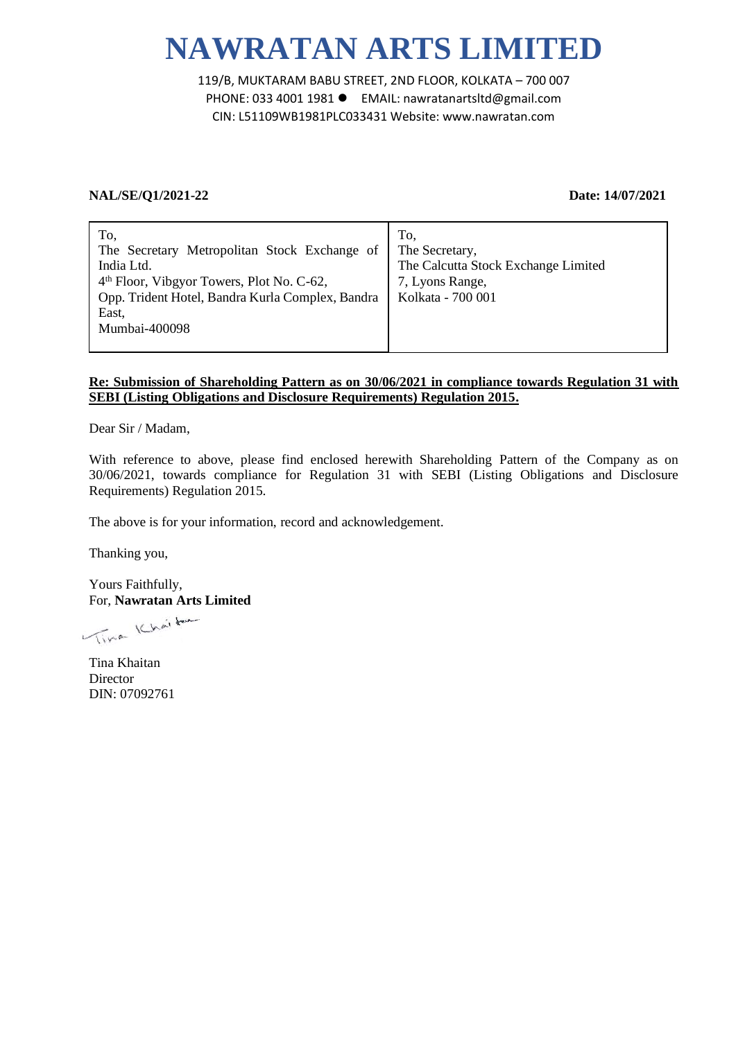# **NAWRATAN ARTS LIMITED**

119/B, MUKTARAM BABU STREET, 2ND FLOOR, KOLKATA – 700 007 PHONE: 033 4001 1981 EMAIL: nawratanartsltd@gmail.com CIN: L51109WB1981PLC033431 Website: www.nawratan.com

## **NAL/SE/Q1/2021-22 Date: 14/07/2021**

# **Re: Submission of Shareholding Pattern as on 30/06/2021 in compliance towards Regulation 31 with SEBI (Listing Obligations and Disclosure Requirements) Regulation 2015.**

Dear Sir / Madam,

With reference to above, please find enclosed herewith Shareholding Pattern of the Company as on 30/06/2021, towards compliance for Regulation 31 with SEBI (Listing Obligations and Disclosure Requirements) Regulation 2015.

The above is for your information, record and acknowledgement.

Thanking you,

Yours Faithfully, For, **Nawratan Arts Limited**

Time Khaitan

Tina Khaitan **Director** DIN: 07092761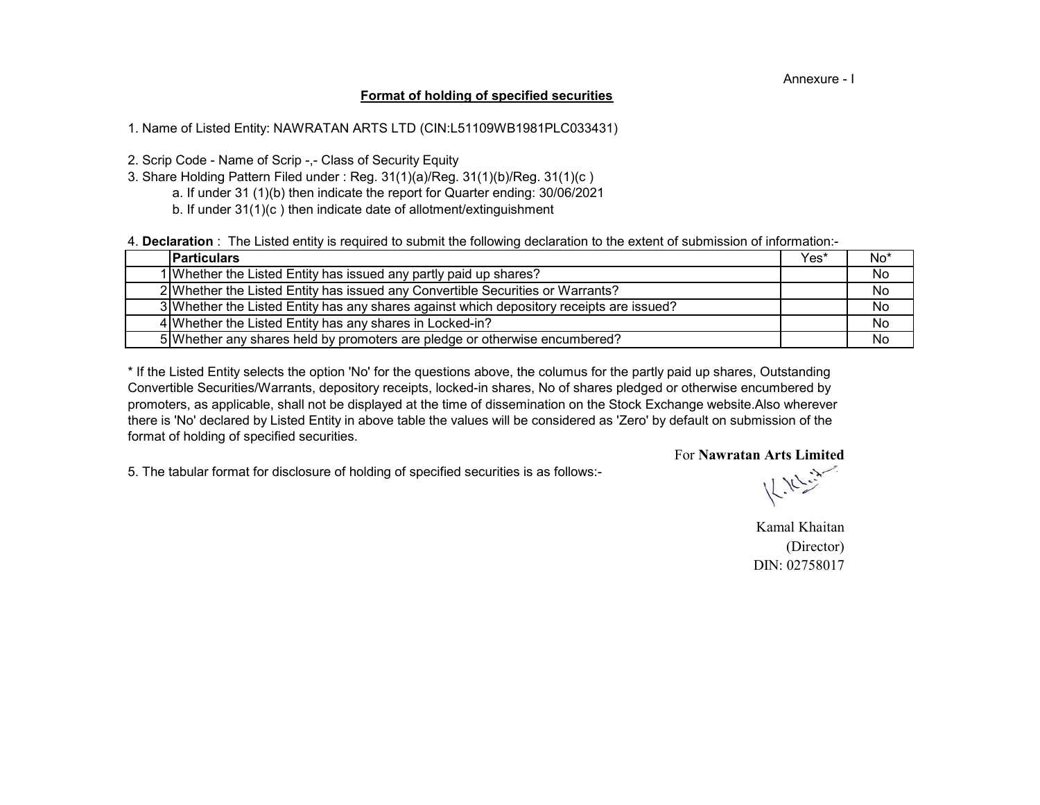#### Annexure - I

### **Format of holding of specified securities**

1. Name of Listed Entity: NAWRATAN ARTS LTD (CIN:L51109WB1981PLC033431)

2. Scrip Code - Name of Scrip -,- Class of Security Equity

- a. If under 31 (1)(b) then indicate the report for Quarter ending: 30/06/2021 3. Share Holding Pattern Filed under : Reg. 31(1)(a)/Reg. 31(1)(b)/Reg. 31(1)(c )
	- b. If under 31(1)(c ) then indicate date of allotment/extinguishment

4. **Declaration** : The Listed entity is required to submit the following declaration to the extent of submission of information:-

| <b>IParticulars</b>                                                                      | Yes* | $No*$ |
|------------------------------------------------------------------------------------------|------|-------|
| 1 Whether the Listed Entity has issued any partly paid up shares?                        |      | No    |
| 2 Whether the Listed Entity has issued any Convertible Securities or Warrants?           |      | No    |
| 3 Whether the Listed Entity has any shares against which depository receipts are issued? |      | No    |
| 4 Whether the Listed Entity has any shares in Locked-in?                                 |      | No    |
| 5 Whether any shares held by promoters are pledge or otherwise encumbered?               |      | No    |

there is 'No' declared by Listed Entity in above table the values will be considered as 'Zero' by default on submission of the format of holding of specified securities. \* If the Listed Entity selects the option 'No' for the questions above, the columus for the partly paid up shares, Outstanding Convertible Securities/Warrants, depository receipts, locked-in shares, No of shares pledged or otherwise encumbered by promoters, as applicable, shall not be displayed at the time of dissemination on the Stock Exchange website.Also wherever

5. The tabular format for disclosure of holding of specified securities is as follows:-

 $k_{\rm F}$ 

For **Nawratan Arts Limited**

Kamal Khaitan (Director) DIN: 02758017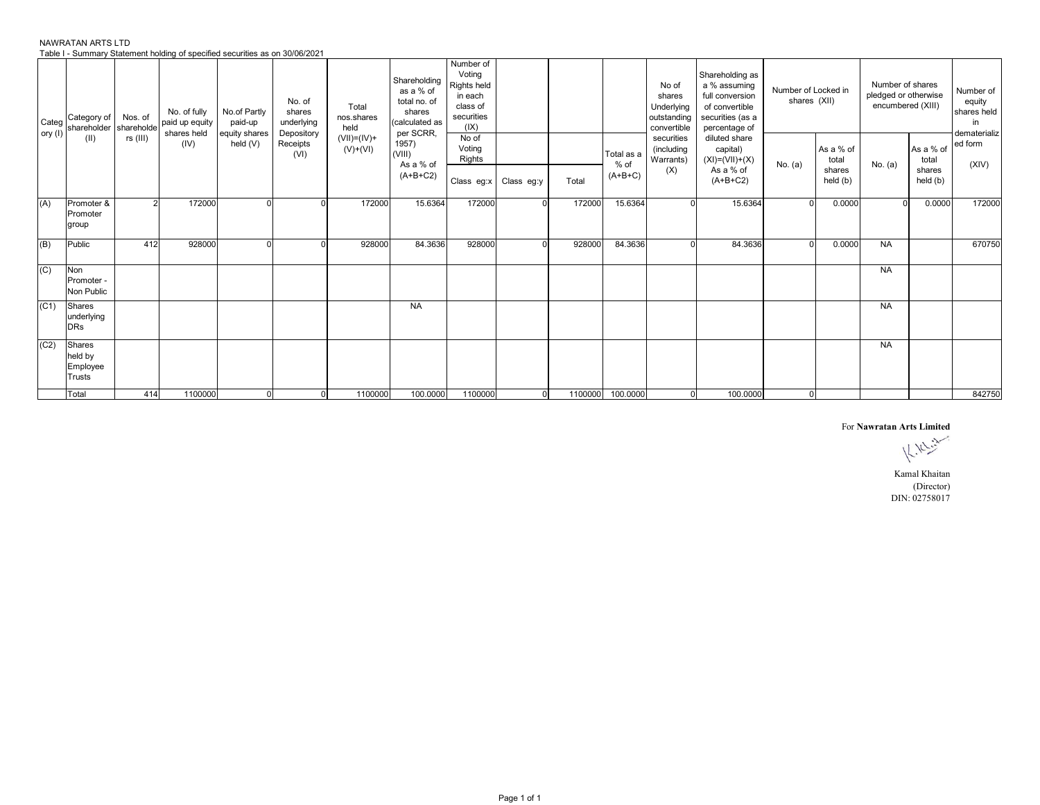| NAWRATAN ARTS LTD                                                            |  |
|------------------------------------------------------------------------------|--|
| Table I - Summary Statement holding of specified securities as on 30/06/2021 |  |

| Categ   | Category of<br>shareholder                     | Nos. of<br>shareholde | No. of fully<br>paid up equity<br>shares held | No.of Partly<br>paid-up     | No. of<br>shares<br>underlying | Total<br>nos.shares<br>held | Shareholding<br>as a % of<br>total no. of<br>shares<br>(calculated as<br>per SCRR, | Number of<br>Voting<br>Rights held<br>in each<br>class of<br>securities<br>(IX) |                         |         |                                   | No of<br>shares<br>Underlying<br>outstanding<br>convertible | Shareholding as<br>a % assuming<br>full conversion<br>of convertible<br>securities (as a<br>percentage of | Number of Locked in<br>shares (XII) |                                          | Number of shares<br>pledged or otherwise<br>encumbered (XIII) |                                          | Number of<br>equity<br>shares held<br>in<br>dematerializ |
|---------|------------------------------------------------|-----------------------|-----------------------------------------------|-----------------------------|--------------------------------|-----------------------------|------------------------------------------------------------------------------------|---------------------------------------------------------------------------------|-------------------------|---------|-----------------------------------|-------------------------------------------------------------|-----------------------------------------------------------------------------------------------------------|-------------------------------------|------------------------------------------|---------------------------------------------------------------|------------------------------------------|----------------------------------------------------------|
| ory (I) | (II)                                           | rs (III)              | (IV)                                          | equity shares<br>held $(V)$ | Depository<br>Receipts<br>(VI) | $(VII)=(IV)+$<br>$(V)+(VI)$ | 1957)<br>(VIII)<br>As a % of<br>$(A+B+C2)$                                         | No of<br>Voting<br>Rights                                                       | Class eg:x   Class eg:y | Total   | Total as a<br>$%$ of<br>$(A+B+C)$ | securities<br>(including<br>Warrants)<br>(X)                | diluted share<br>capital)<br>$(XI)= (VII)+(X)$<br>As a % of<br>$(A+B+C2)$                                 | No. (a)                             | As a % of<br>total<br>shares<br>held (b) | No. (a)                                                       | As a % of<br>total<br>shares<br>held (b) | ed form<br>(XIV)                                         |
| (A)     | Promoter &<br>Promoter<br>group                |                       | 172000                                        |                             |                                | 172000                      | 15.6364                                                                            | 172000                                                                          |                         | 172000  | 15.6364                           |                                                             | 15.6364                                                                                                   | $\Omega$                            | 0.0000                                   |                                                               | 0.0000                                   | 172000                                                   |
| (B)     | Public                                         | 412                   | 928000                                        | $\Omega$                    |                                | 928000                      | 84.3636                                                                            | 928000                                                                          |                         | 928000  | 84.3636                           |                                                             | 84.3636                                                                                                   | $\Omega$                            | 0.0000                                   | <b>NA</b>                                                     |                                          | 670750                                                   |
| (C)     | Non<br>Promoter -<br>Non Public                |                       |                                               |                             |                                |                             |                                                                                    |                                                                                 |                         |         |                                   |                                                             |                                                                                                           |                                     |                                          | <b>NA</b>                                                     |                                          |                                                          |
| (C1)    | Shares<br>underlying<br><b>DRs</b>             |                       |                                               |                             |                                |                             | <b>NA</b>                                                                          |                                                                                 |                         |         |                                   |                                                             |                                                                                                           |                                     |                                          | <b>NA</b>                                                     |                                          |                                                          |
| (C2)    | Shares<br>held by<br>Employee<br><b>Trusts</b> |                       |                                               |                             |                                |                             |                                                                                    |                                                                                 |                         |         |                                   |                                                             |                                                                                                           |                                     |                                          | <b>NA</b>                                                     |                                          |                                                          |
|         | Total                                          | 414                   | 1100000                                       | $\overline{0}$              | $\overline{0}$                 | 1100000                     | 100.0000                                                                           | 1100000                                                                         | $\Omega$                | 1100000 | 100.0000                          | $\Omega$                                                    | 100.0000                                                                                                  |                                     | $\overline{0}$                           |                                                               |                                          | 842750                                                   |

For **Nawratan Arts Limited**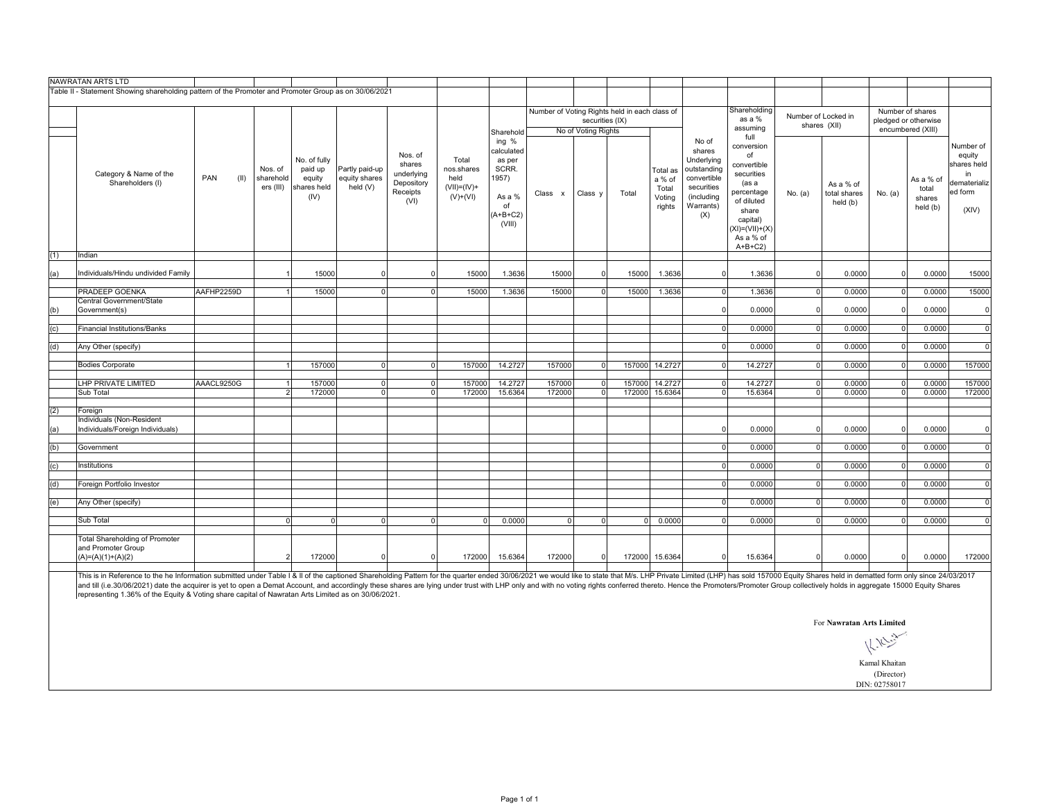|     | NAWRATAN ARTS LTD                                                                                     |             |                                   |                                                          |                                               |                                                                   |                                                               |                                                                                         |                                               |                                        |          |                                                 |                                                                                                             |                                                                                                                                                          |                |                                       |          |                                           |                                                                               |
|-----|-------------------------------------------------------------------------------------------------------|-------------|-----------------------------------|----------------------------------------------------------|-----------------------------------------------|-------------------------------------------------------------------|---------------------------------------------------------------|-----------------------------------------------------------------------------------------|-----------------------------------------------|----------------------------------------|----------|-------------------------------------------------|-------------------------------------------------------------------------------------------------------------|----------------------------------------------------------------------------------------------------------------------------------------------------------|----------------|---------------------------------------|----------|-------------------------------------------|-------------------------------------------------------------------------------|
|     | Table II - Statement Showing shareholding pattern of the Promoter and Promoter Group as on 30/06/2021 |             |                                   |                                                          |                                               |                                                                   |                                                               |                                                                                         |                                               |                                        |          |                                                 |                                                                                                             |                                                                                                                                                          |                |                                       |          |                                           |                                                                               |
|     |                                                                                                       |             |                                   |                                                          |                                               |                                                                   |                                                               |                                                                                         | Number of Voting Rights held in each class of |                                        |          |                                                 |                                                                                                             | Shareholding                                                                                                                                             |                | Number of Locked in                   |          | Number of shares                          |                                                                               |
|     |                                                                                                       |             |                                   |                                                          |                                               |                                                                   |                                                               | Sharehold                                                                               |                                               | securities (IX)<br>No of Voting Rights |          |                                                 |                                                                                                             | as a %<br>assuming<br>full                                                                                                                               |                | shares (XII)                          |          | pledged or otherwise<br>encumbered (XIII) |                                                                               |
|     | Category & Name of the<br>Shareholders (I)                                                            | PAN<br>(II) | Nos. of<br>sharehold<br>ers (III) | No. of fully<br>paid up<br>equity<br>shares held<br>(IV) | Partly paid-up<br>equity shares<br>held $(V)$ | Nos. of<br>shares<br>underlying<br>Depository<br>Receipts<br>(VI) | Total<br>nos.shares<br>held<br>$(VII) = (IV) +$<br>$(V)+(VI)$ | ing %<br>calculated<br>as per<br>SCRR.<br>1957)<br>As a %<br>of<br>$(A+B+C2)$<br>(VIII) | Class x                                       | Class <sub>y</sub>                     | Total    | Total as<br>a % of<br>Total<br>Voting<br>rights | No of<br>shares<br>Underlying<br>outstanding<br>convertible<br>securities<br>(including<br>Warrants)<br>(X) | conversion<br>of<br>convertible<br>securities<br>(as a<br>percentage<br>of diluted<br>share<br>capital)<br>$(XI) = (VII) + (X)$<br>As a % of<br>$A+B+C2$ | No. (a)        | As a % of<br>total shares<br>held (b) | No. (a)  | As a % of<br>total<br>shares<br>held (b)  | Number of<br>equity<br>shares held<br>in.<br>dematerializ<br>ed form<br>(XIV) |
| (1) | Indian                                                                                                |             |                                   |                                                          |                                               |                                                                   |                                                               |                                                                                         |                                               |                                        |          |                                                 |                                                                                                             |                                                                                                                                                          |                |                                       |          |                                           |                                                                               |
| (a) | Individuals/Hindu undivided Family                                                                    |             |                                   | 15000                                                    | $\mathbf 0$                                   | $\Omega$                                                          | 15000                                                         | 1.3636                                                                                  | 15000                                         | $\Omega$                               | 15000    | 1.3636                                          | $\Omega$                                                                                                    | 1.3636                                                                                                                                                   | $\Omega$       | 0.0000                                | $\Omega$ | 0.0000                                    | 15000                                                                         |
|     | <b>PRADEEP GOENKA</b>                                                                                 | AAFHP2259D  | $\mathbf{1}$                      | 15000                                                    | $\mathbf 0$                                   | $\overline{0}$                                                    | 15000                                                         | 1.3636                                                                                  | 15000                                         | $\overline{0}$                         | 15000    | 1.3636                                          | $\circ$                                                                                                     | 1.3636                                                                                                                                                   | $\overline{0}$ | 0.0000                                | $\Omega$ | 0.0000                                    | 15000                                                                         |
|     | Central Government/State                                                                              |             |                                   |                                                          |                                               |                                                                   |                                                               |                                                                                         |                                               |                                        |          |                                                 |                                                                                                             |                                                                                                                                                          |                |                                       |          |                                           |                                                                               |
| (b) | Government(s)                                                                                         |             |                                   |                                                          |                                               |                                                                   |                                                               |                                                                                         |                                               |                                        |          |                                                 | $\Omega$                                                                                                    | 0.0000                                                                                                                                                   | $\Omega$       | 0.0000                                |          | 0.0000                                    | $\mathbf{0}$                                                                  |
| (c) | <b>Financial Institutions/Banks</b>                                                                   |             |                                   |                                                          |                                               |                                                                   |                                                               |                                                                                         |                                               |                                        |          |                                                 | $\Omega$                                                                                                    | 0.0000                                                                                                                                                   | $\overline{0}$ | 0.0000                                | $\Omega$ | 0.0000                                    | $\Omega$                                                                      |
| (d) | Any Other (specify)                                                                                   |             |                                   |                                                          |                                               |                                                                   |                                                               |                                                                                         |                                               |                                        |          |                                                 | $\Omega$                                                                                                    | 0.0000                                                                                                                                                   | $\overline{0}$ | 0.0000                                | $\Omega$ | 0.0000                                    | $\overline{0}$                                                                |
|     | <b>Bodies Corporate</b>                                                                               |             | $\overline{1}$                    | 157000                                                   | $\mathbf{0}$                                  | $\overline{0}$                                                    | 157000                                                        | 14.2727                                                                                 | 157000                                        | $\overline{0}$                         |          | 157000 14.2727                                  | $\Omega$                                                                                                    | 14.2727                                                                                                                                                  | $\Omega$       | 0.0000                                | $\Omega$ | 0.0000                                    | 157000                                                                        |
|     | LHP PRIVATE LIMITED                                                                                   | AAACL9250G  | -1                                | 157000                                                   | $\mathbf 0$                                   | $\overline{0}$                                                    | 157000                                                        | 14.2727                                                                                 | 157000                                        | $\overline{0}$                         |          | 157000 14.2727                                  | $\Omega$                                                                                                    | 14.2727                                                                                                                                                  | $\overline{0}$ | 0.0000                                | $\Omega$ | 0.0000                                    | 157000                                                                        |
|     | Sub Total                                                                                             |             | $\overline{2}$                    | 172000                                                   | $\overline{0}$                                | $\overline{0}$                                                    | 172000                                                        | 15.6364                                                                                 | 172000                                        | $\overline{0}$                         |          | 172000 15.6364                                  | $\Omega$                                                                                                    | 15.6364                                                                                                                                                  | $\overline{0}$ | 0.0000                                | $\Omega$ | 0.0000                                    | 172000                                                                        |
| (2) | Foreign                                                                                               |             |                                   |                                                          |                                               |                                                                   |                                                               |                                                                                         |                                               |                                        |          |                                                 |                                                                                                             |                                                                                                                                                          |                |                                       |          |                                           |                                                                               |
| (a) | Individuals (Non-Resident<br>Individuals/Foreign Individuals)                                         |             |                                   |                                                          |                                               |                                                                   |                                                               |                                                                                         |                                               |                                        |          |                                                 |                                                                                                             | 0.0000                                                                                                                                                   | $\Omega$       | 0.0000                                |          | 0.0000                                    | $\Omega$                                                                      |
| (b) | Government                                                                                            |             |                                   |                                                          |                                               |                                                                   |                                                               |                                                                                         |                                               |                                        |          |                                                 | $\Omega$                                                                                                    | 0.0000                                                                                                                                                   | $\Omega$       | 0.0000                                | $\Omega$ | 0.0000                                    | $\Omega$                                                                      |
|     |                                                                                                       |             |                                   |                                                          |                                               |                                                                   |                                                               |                                                                                         |                                               |                                        |          |                                                 |                                                                                                             |                                                                                                                                                          |                |                                       |          |                                           |                                                                               |
| (c) | Institutions                                                                                          |             |                                   |                                                          |                                               |                                                                   |                                                               |                                                                                         |                                               |                                        |          |                                                 | $\Omega$                                                                                                    | 0.0000                                                                                                                                                   | $\overline{0}$ | 0.0000                                | $\Omega$ | 0.0000                                    | $\overline{0}$                                                                |
| (d) | Foreign Portfolio Investor                                                                            |             |                                   |                                                          |                                               |                                                                   |                                                               |                                                                                         |                                               |                                        |          |                                                 | $\Omega$                                                                                                    | 0.0000                                                                                                                                                   | $\Omega$       | 0.0000                                | $\Omega$ | 0.0000                                    | $\mathbf 0$                                                                   |
| (e) | Any Other (specify)                                                                                   |             |                                   |                                                          |                                               |                                                                   |                                                               |                                                                                         |                                               |                                        |          |                                                 | $\Omega$                                                                                                    | 0.0000                                                                                                                                                   | $\overline{0}$ | 0.0000                                | $\Omega$ | 0.0000                                    | $\mathbf 0$                                                                   |
|     | Sub Total                                                                                             |             | $\overline{0}$                    | $\mathbf 0$                                              | $\mathbf 0$                                   | $\overline{0}$                                                    | $\Omega$                                                      | 0.0000                                                                                  | $\Omega$                                      | $\Omega$                               | $\Omega$ | 0.0000                                          | $\Omega$                                                                                                    | 0.0000                                                                                                                                                   | $\Omega$       | 0.0000                                |          | 0.0000                                    | $\Omega$                                                                      |
|     | <b>Total Shareholding of Promoter</b><br>and Promoter Group<br>$(A)=(A)(1)+(A)(2)$                    |             | $\overline{2}$                    | 172000                                                   | $\mathbf 0$                                   | $\overline{0}$                                                    | 172000                                                        | 15.6364                                                                                 | 172000                                        | $\Omega$                               | 172000   | 15.6364                                         | $\overline{0}$                                                                                              | 15.6364                                                                                                                                                  | $\Omega$       | 0.0000                                | $\Omega$ | 0.0000                                    | 172000                                                                        |

This is in Reference to the he Information submitted under Table I & II of the captioned Shareholding Pattern for the quarter ended 30/06/2021 we would like to state that M/s. LHP Private Limited (LHP) has sold 157000 Equi representing 1.36% of the Equity & Voting share capital of Nawratan Arts Limited as on 30/06/2021.

For **Nawratan Arts Limited**

Kamal Khaitan (Director)

DIN: 02758017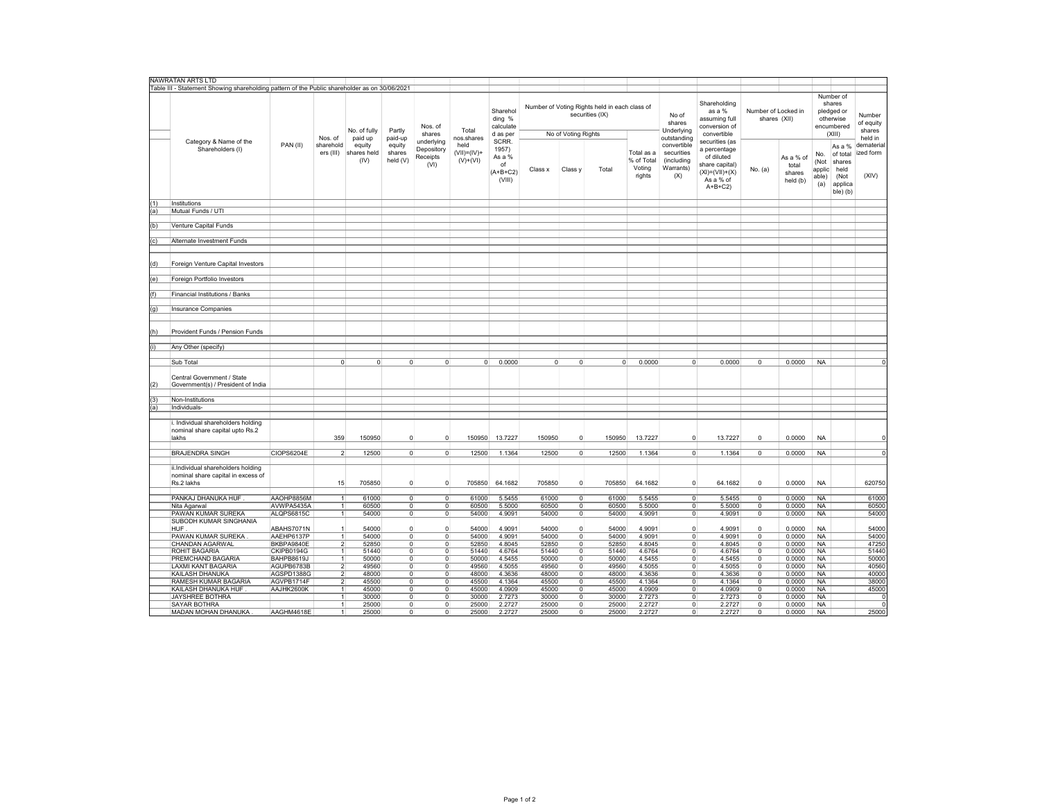|     | NAWRATAN ARTS LTD                                                                             |            |                         |                               |                              |                                              |                                        |                                                        |                |                     |                                                                  |                                              |                                                             |                                                                                                                 |                                     |                                          |                                       |                                                                        |                                          |
|-----|-----------------------------------------------------------------------------------------------|------------|-------------------------|-------------------------------|------------------------------|----------------------------------------------|----------------------------------------|--------------------------------------------------------|----------------|---------------------|------------------------------------------------------------------|----------------------------------------------|-------------------------------------------------------------|-----------------------------------------------------------------------------------------------------------------|-------------------------------------|------------------------------------------|---------------------------------------|------------------------------------------------------------------------|------------------------------------------|
|     | Table III - Statement Showing shareholding pattern of the Public shareholder as on 30/06/2021 |            |                         |                               |                              |                                              |                                        |                                                        |                |                     |                                                                  |                                              |                                                             |                                                                                                                 |                                     |                                          |                                       |                                                                        |                                          |
|     |                                                                                               |            | Nos. of                 | No. of fully<br>paid up       | Partly<br>paid-up            | Nos. of<br>shares                            | Total<br>nos.shares                    | Sharehol<br>ding %<br>calculate<br>d as per            |                | No of Voting Rights | Number of Voting Rights held in each class of<br>securities (IX) |                                              | No of<br>shares<br>Underlying<br>outstanding                | Shareholding<br>as a %<br>assuming full<br>conversion of<br>convertible                                         | Number of Locked in<br>shares (XII) |                                          |                                       | Number of<br>shares<br>pledged or<br>otherwise<br>encumbered<br>(XIII) | Number<br>of equity<br>shares<br>held in |
|     | Category & Name of the<br>Shareholders (I)                                                    | PAN (II)   | sharehold<br>ers (III)  | equity<br>shares held<br>(IV) | equity<br>shares<br>held (V) | underlying<br>Depository<br>Receipts<br>(VI) | held<br>$(VII) = (IV) +$<br>$(V)+(VI)$ | SCRR.<br>1957)<br>As a %<br>of<br>$(A+B+C2)$<br>(VIII) | Class x        | Class y             | Total                                                            | Total as a<br>% of Total<br>Voting<br>rights | convertible<br>securities<br>(including<br>Warrants)<br>(X) | securities (as<br>a percentage<br>of diluted<br>share capital)<br>$(XI) = (VII) + (X)$<br>As a % of<br>$A+B+C2$ | No. (a)                             | As a % of<br>total<br>shares<br>held (b) | No.<br>(Not<br>applic<br>able)<br>(a) | As a %<br>of total<br>shares<br>held<br>(Not<br>applica<br>ble) (b)    | demateria<br>ized form<br>(XIV)          |
| (1) | Institutions                                                                                  |            |                         |                               |                              |                                              |                                        |                                                        |                |                     |                                                                  |                                              |                                                             |                                                                                                                 |                                     |                                          |                                       |                                                                        |                                          |
| (a) | Mutual Funds / UTI                                                                            |            |                         |                               |                              |                                              |                                        |                                                        |                |                     |                                                                  |                                              |                                                             |                                                                                                                 |                                     |                                          |                                       |                                                                        |                                          |
|     |                                                                                               |            |                         |                               |                              |                                              |                                        |                                                        |                |                     |                                                                  |                                              |                                                             |                                                                                                                 |                                     |                                          |                                       |                                                                        |                                          |
| (b) | Venture Capital Funds                                                                         |            |                         |                               |                              |                                              |                                        |                                                        |                |                     |                                                                  |                                              |                                                             |                                                                                                                 |                                     |                                          |                                       |                                                                        |                                          |
|     |                                                                                               |            |                         |                               |                              |                                              |                                        |                                                        |                |                     |                                                                  |                                              |                                                             |                                                                                                                 |                                     |                                          |                                       |                                                                        |                                          |
| (c) | Alternate Investment Funds                                                                    |            |                         |                               |                              |                                              |                                        |                                                        |                |                     |                                                                  |                                              |                                                             |                                                                                                                 |                                     |                                          |                                       |                                                                        |                                          |
|     |                                                                                               |            |                         |                               |                              |                                              |                                        |                                                        |                |                     |                                                                  |                                              |                                                             |                                                                                                                 |                                     |                                          |                                       |                                                                        |                                          |
| (d) | Foreign Venture Capital Investors                                                             |            |                         |                               |                              |                                              |                                        |                                                        |                |                     |                                                                  |                                              |                                                             |                                                                                                                 |                                     |                                          |                                       |                                                                        |                                          |
| (e) | Foreign Portfolio Investors                                                                   |            |                         |                               |                              |                                              |                                        |                                                        |                |                     |                                                                  |                                              |                                                             |                                                                                                                 |                                     |                                          |                                       |                                                                        |                                          |
|     |                                                                                               |            |                         |                               |                              |                                              |                                        |                                                        |                |                     |                                                                  |                                              |                                                             |                                                                                                                 |                                     |                                          |                                       |                                                                        |                                          |
| (f) | Financial Institutions / Banks                                                                |            |                         |                               |                              |                                              |                                        |                                                        |                |                     |                                                                  |                                              |                                                             |                                                                                                                 |                                     |                                          |                                       |                                                                        |                                          |
|     |                                                                                               |            |                         |                               |                              |                                              |                                        |                                                        |                |                     |                                                                  |                                              |                                                             |                                                                                                                 |                                     |                                          |                                       |                                                                        |                                          |
|     |                                                                                               |            |                         |                               |                              |                                              |                                        |                                                        |                |                     |                                                                  |                                              |                                                             |                                                                                                                 |                                     |                                          |                                       |                                                                        |                                          |
| (g) | <b>Insurance Companies</b>                                                                    |            |                         |                               |                              |                                              |                                        |                                                        |                |                     |                                                                  |                                              |                                                             |                                                                                                                 |                                     |                                          |                                       |                                                                        |                                          |
| (h) | Provident Funds / Pension Funds                                                               |            |                         |                               |                              |                                              |                                        |                                                        |                |                     |                                                                  |                                              |                                                             |                                                                                                                 |                                     |                                          |                                       |                                                                        |                                          |
|     |                                                                                               |            |                         |                               |                              |                                              |                                        |                                                        |                |                     |                                                                  |                                              |                                                             |                                                                                                                 |                                     |                                          |                                       |                                                                        |                                          |
| (i) | Any Other (specify)                                                                           |            |                         |                               |                              |                                              |                                        |                                                        |                |                     |                                                                  |                                              |                                                             |                                                                                                                 |                                     |                                          |                                       |                                                                        |                                          |
|     |                                                                                               |            |                         |                               |                              |                                              |                                        |                                                        |                |                     |                                                                  |                                              |                                                             |                                                                                                                 |                                     |                                          |                                       |                                                                        |                                          |
|     | Sub Total                                                                                     |            | $\Omega$                | $\overline{0}$                | $\circ$                      | $\circ$                                      | 0                                      | 0.0000                                                 | $\overline{0}$ | $\Omega$            | $\overline{0}$                                                   | 0.0000                                       | $\overline{0}$                                              | 0.0000                                                                                                          | $\mathsf 0$                         | 0.0000                                   | <b>NA</b>                             |                                                                        |                                          |
|     |                                                                                               |            |                         |                               |                              |                                              |                                        |                                                        |                |                     |                                                                  |                                              |                                                             |                                                                                                                 |                                     |                                          |                                       |                                                                        |                                          |
|     | Central Government / State                                                                    |            |                         |                               |                              |                                              |                                        |                                                        |                |                     |                                                                  |                                              |                                                             |                                                                                                                 |                                     |                                          |                                       |                                                                        |                                          |
| (2) | Government(s) / President of India                                                            |            |                         |                               |                              |                                              |                                        |                                                        |                |                     |                                                                  |                                              |                                                             |                                                                                                                 |                                     |                                          |                                       |                                                                        |                                          |
|     |                                                                                               |            |                         |                               |                              |                                              |                                        |                                                        |                |                     |                                                                  |                                              |                                                             |                                                                                                                 |                                     |                                          |                                       |                                                                        |                                          |
| (3) | Non-Institutions                                                                              |            |                         |                               |                              |                                              |                                        |                                                        |                |                     |                                                                  |                                              |                                                             |                                                                                                                 |                                     |                                          |                                       |                                                                        |                                          |
| (a) | Individuals-                                                                                  |            |                         |                               |                              |                                              |                                        |                                                        |                |                     |                                                                  |                                              |                                                             |                                                                                                                 |                                     |                                          |                                       |                                                                        |                                          |
|     |                                                                                               |            |                         |                               |                              |                                              |                                        |                                                        |                |                     |                                                                  |                                              |                                                             |                                                                                                                 |                                     |                                          |                                       |                                                                        |                                          |
|     | Individual shareholders holding<br>nominal share capital upto Rs.2<br>lakhs                   |            | 359                     | 150950                        | $\overline{0}$               | $\circ$                                      | 150950                                 | 13.7227                                                | 150950         | $\Omega$            | 150950                                                           | 13.7227                                      | $^{\circ}$                                                  | 13.7227                                                                                                         | 0                                   | 0.0000                                   | <b>NA</b>                             |                                                                        |                                          |
|     |                                                                                               |            |                         |                               |                              |                                              |                                        |                                                        |                |                     |                                                                  |                                              |                                                             |                                                                                                                 |                                     |                                          |                                       |                                                                        |                                          |
|     | <b>BRAJENDRA SINGH</b>                                                                        | CIOPS6204E | $\mathfrak{p}$          | 12500                         | $\circ$                      | $\circ$                                      | 12500                                  | 1.1364                                                 | 12500          | 0                   | 12500                                                            | 1.1364                                       | $\circ$                                                     | 1.1364                                                                                                          | 0                                   | 0.0000                                   | <b>NA</b>                             |                                                                        | 0                                        |
|     | ii.Individual shareholders holding<br>nominal share capital in excess of<br>Rs.2 lakhs        |            | 15                      | 705850                        | $\circ$                      | $\circ$                                      | 705850                                 | 64.1682                                                | 705850         | $\Omega$            | 705850                                                           | 64.1682                                      | $\overline{0}$                                              | 64.1682                                                                                                         | $\mathsf 0$                         | 0.0000                                   | NA                                    |                                                                        | 620750                                   |
|     |                                                                                               |            |                         |                               |                              |                                              |                                        |                                                        |                |                     |                                                                  |                                              |                                                             |                                                                                                                 |                                     |                                          |                                       |                                                                        |                                          |
|     | PANKAJ DHANUKA HUF                                                                            | AAOHP8856M | 1                       | 61000                         | $\circ$                      | $\overline{0}$                               | 61000                                  | 5.5455                                                 | 61000          | $\overline{0}$      | 61000                                                            | 5.5455                                       | $\circ$                                                     | 5.5455                                                                                                          | 0                                   | 0.0000                                   | <b>NA</b>                             |                                                                        | 61000                                    |
|     | Nita Agarwal                                                                                  | AVWPA5435A | $\mathbf{1}$            | 60500                         | $\overline{0}$               | $\overline{0}$                               | 60500                                  | 5.5000                                                 | 60500          | $\Omega$            | 60500                                                            | 5.5000                                       | $\overline{0}$                                              | 5.5000                                                                                                          | 0                                   | 0.0000                                   | <b>NA</b>                             |                                                                        | 60500                                    |
|     | PAWAN KUMAR SUREKA                                                                            | ALQPS6815C | $\overline{1}$          | 54000                         | $\overline{0}$               | $\overline{0}$                               | 54000                                  | 4.9091                                                 | 54000          | $\mathbf{0}$        | 54000                                                            | 4.9091                                       | $\overline{0}$                                              | 4.9091                                                                                                          | $\mathbf 0$                         | 0.0000                                   | <b>NA</b>                             |                                                                        | 54000                                    |
|     | SUBODH KUMAR SINGHANIA                                                                        |            |                         |                               |                              |                                              |                                        |                                                        |                |                     |                                                                  |                                              |                                                             |                                                                                                                 |                                     |                                          |                                       |                                                                        |                                          |
|     | <b>HUF</b>                                                                                    | ABAHS7071N | 1                       | 54000                         | $\overline{0}$               | $\circ$                                      | 54000                                  | 4.9091                                                 | 54000          | $\mathbf 0$         | 54000                                                            | 4.9091                                       | $\mathbf 0$                                                 | 4.9091                                                                                                          | $\mathsf 0$                         | 0.0000                                   | <b>NA</b>                             |                                                                        | 54000                                    |
|     | PAWAN KUMAR SUREKA                                                                            | AAEHP6137P |                         | 54000                         | $\circ$                      | $\circ$                                      | 54000                                  | 4.9091                                                 | 54000          | $\Omega$            | 54000                                                            | 4.9091                                       | $\overline{0}$                                              | 4.9091                                                                                                          | $\mathbf 0$                         | 0.0000                                   | <b>NA</b>                             |                                                                        | 54000                                    |
|     | CHANDAN AGARWAL                                                                               | BKBPA9840E | $\overline{\mathbf{2}}$ | 52850                         | $\circ$                      | $\overline{0}$                               | 52850                                  | 4.8045                                                 | 52850          | $\mathbf 0$         | 52850                                                            | 4.8045                                       | $\circ$                                                     | 4.8045                                                                                                          | 0                                   | 0.0000                                   | <b>NA</b>                             |                                                                        | 47250                                    |
|     | ROHIT BAGARIA                                                                                 | CKIPB0194G | $\mathbf{1}$            | 51440                         | $\overline{0}$               | $\overline{0}$                               | 51440                                  | 4.6764                                                 | 51440          | $\Omega$            | 51440                                                            | 4.6764                                       | $\overline{0}$                                              | 4.6764                                                                                                          | $\mathbf 0$                         | 0.0000                                   | <b>NA</b>                             |                                                                        | 51440                                    |
|     | PREMCHAND BAGARIA                                                                             | BAHPB8619J | 1                       | 50000                         | $\overline{0}$               | $\overline{0}$                               | 50000                                  | 4.5455                                                 | 50000          | $\overline{0}$      | 50000                                                            | 4.5455                                       | $\overline{0}$                                              | 4.5455                                                                                                          | 0                                   | 0.0000                                   | <b>NA</b>                             |                                                                        | 50000                                    |
|     | LAXMI KANT BAGARIA                                                                            | AGUPB6783B | $\overline{2}$          | 49560                         | $\overline{0}$               | $\overline{0}$                               | 49560                                  | 4.5055                                                 | 49560          | $\mathbf 0$         | 49560                                                            | 4.5055                                       | $\overline{0}$                                              | 4.5055                                                                                                          | 0                                   | 0.0000                                   | <b>NA</b>                             |                                                                        | 40560                                    |
|     | KAILASH DHANUKA                                                                               | AGSPD1388G | $\overline{2}$          | 48000                         | $\circ$                      | $\overline{0}$                               | 48000                                  | 4.3636                                                 | 48000          | $\overline{0}$      | 48000                                                            | 4.3636                                       | $\overline{0}$                                              | 4.3636                                                                                                          | $^{\circ}$                          | 0.0000                                   | <b>NA</b>                             |                                                                        | 40000                                    |
|     | RAMESH KUMAR BAGARIA                                                                          | AGVPB1714F | $\overline{2}$          | 45500                         | $\overline{0}$               | $\overline{0}$                               | 45500                                  | 4.1364                                                 | 45500          | $\overline{0}$      | 45500                                                            | 4.1364                                       | $\overline{0}$                                              | 4.1364                                                                                                          | 0                                   | 0.0000                                   | <b>NA</b>                             |                                                                        | 38000                                    |
|     | KAILASH DHANUKA HUF                                                                           | AAJHK2600K | 1                       | 45000                         | $\overline{0}$               | $\overline{\mathbf{0}}$                      | 45000                                  | 4.0909                                                 | 45000          | $\overline{0}$      | 45000                                                            | 4.0909                                       | $\overline{0}$                                              | 4.0909                                                                                                          | $\overline{0}$                      | 0.0000                                   | <b>NA</b>                             |                                                                        | 45000                                    |
|     | JAYSHREE BOTHRA                                                                               |            | $\mathbf{1}$            | 30000                         | $\overline{0}$               | $\overline{0}$                               | 30000                                  | 2.7273                                                 | 30000          | $\mathbf{0}$        | 30000                                                            | 2.7273                                       | $\overline{0}$                                              | 2.7273                                                                                                          | $\mathsf 0$                         | 0.0000                                   | <b>NA</b>                             |                                                                        | $\Omega$                                 |
|     | SAYAR BOTHRA                                                                                  |            | 1                       | 25000                         | $\circ$                      | $\circ$                                      | 25000                                  | 2.2727                                                 | 25000          | $\overline{0}$      | 25000                                                            | 2.2727                                       | $\overline{0}$                                              | 2.2727                                                                                                          | 0                                   | 0.0000                                   | <b>NA</b>                             |                                                                        | $\Omega$                                 |
|     | MADAN MOHAN DHANUKA.                                                                          | AAGHM4618E | 1                       | 25000                         | 0                            | $\overline{0}$                               | 25000                                  | 2.2727                                                 | 25000          | $\mathbf 0$         | 25000                                                            | 2.2727                                       | $\overline{0}$                                              | 2.2727                                                                                                          | $\mathbf 0$                         | 0.0000                                   | <b>NA</b>                             |                                                                        | 25000                                    |
|     |                                                                                               |            |                         |                               |                              |                                              |                                        |                                                        |                |                     |                                                                  |                                              |                                                             |                                                                                                                 |                                     |                                          |                                       |                                                                        |                                          |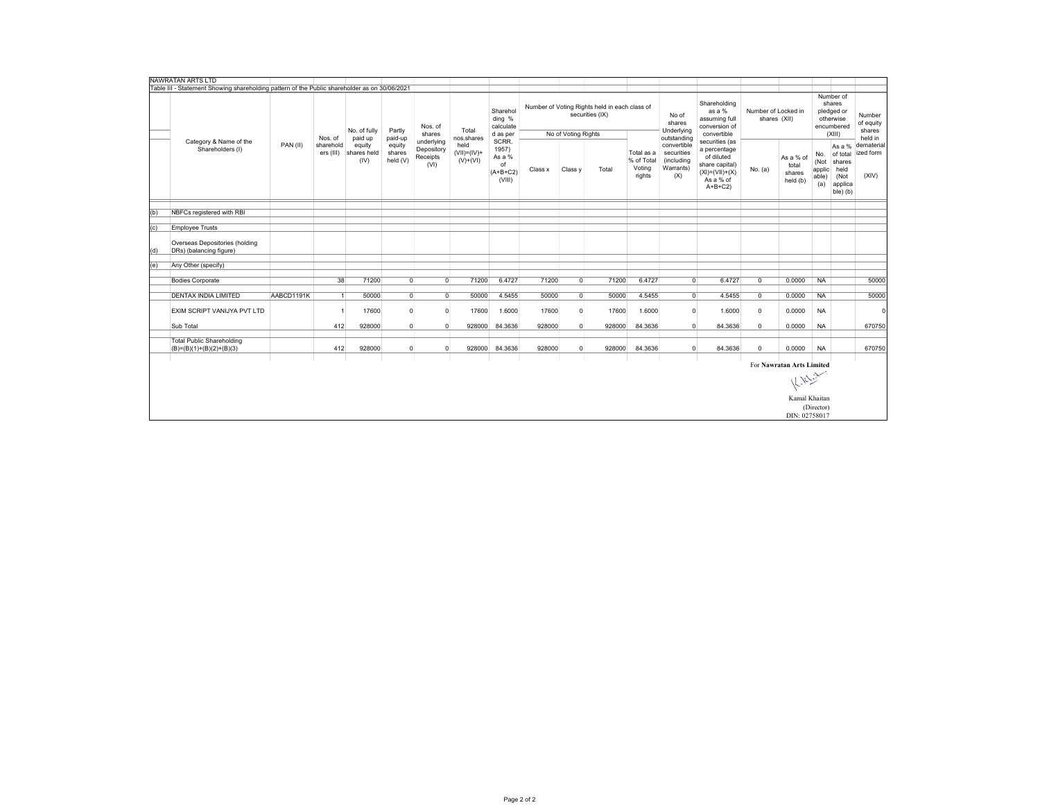|     | NAWRATAN ARTS LTD                                                                             |            |                        |                               |                              |                                              |                                     |                                                        |         |                     |                                                                  |                                              |                                                             |                                                                                                                 |                                     |                                          |                                                                        |                                                                     |                                          |  |
|-----|-----------------------------------------------------------------------------------------------|------------|------------------------|-------------------------------|------------------------------|----------------------------------------------|-------------------------------------|--------------------------------------------------------|---------|---------------------|------------------------------------------------------------------|----------------------------------------------|-------------------------------------------------------------|-----------------------------------------------------------------------------------------------------------------|-------------------------------------|------------------------------------------|------------------------------------------------------------------------|---------------------------------------------------------------------|------------------------------------------|--|
|     | Table III - Statement Showing shareholding pattern of the Public shareholder as on 30/06/2021 |            |                        |                               |                              |                                              |                                     |                                                        |         |                     |                                                                  |                                              |                                                             |                                                                                                                 |                                     |                                          |                                                                        |                                                                     |                                          |  |
|     |                                                                                               |            | Nos. of                | No. of fully<br>paid up       | Partly<br>paid-up            | Nos. of<br>shares                            | Total<br>nos.shares                 | Sharehol<br>ding %<br>calculate<br>d as per            |         | No of Voting Rights | Number of Voting Rights held in each class of<br>securities (IX) |                                              | No of<br>shares<br>Underlying<br>outstanding                | Shareholding<br>as a %<br>assuming full<br>conversion of<br>convertible                                         | Number of Locked in<br>shares (XII) |                                          | Number of<br>shares<br>pledged or<br>otherwise<br>encumbered<br>(XIII) |                                                                     | Number<br>of equity<br>shares<br>held in |  |
|     | Category & Name of the<br>Shareholders (I)                                                    | PAN(II)    | sharehold<br>ers (III) | equity<br>shares held<br>(IV) | equity<br>shares<br>held (V) | underlying<br>Depository<br>Receipts<br>(VI) | held<br>$(VII)=(IV)+$<br>$(V)+(VI)$ | SCRR.<br>1957)<br>As a %<br>of<br>$(A+B+C2)$<br>(VIII) | Class x | Class y             | Total                                                            | Total as a<br>% of Total<br>Voting<br>rights | convertible<br>securities<br>(including<br>Warrants)<br>(X) | securities (as<br>a percentage<br>of diluted<br>share capital)<br>$(XI) = (VII) + (X)$<br>As a % of<br>$A+B+C2$ | No. (a)                             | As a % of<br>total<br>shares<br>held (b) | No.<br>(Not<br>applic<br>able)<br>(a)                                  | As a %<br>of total<br>shares<br>held<br>(Not<br>applica<br>ble) (b) | dematerial<br>ized form<br>(XIV)         |  |
|     |                                                                                               |            |                        |                               |                              |                                              |                                     |                                                        |         |                     |                                                                  |                                              |                                                             |                                                                                                                 |                                     |                                          |                                                                        |                                                                     |                                          |  |
| (b) | NBFCs registered with RBI                                                                     |            |                        |                               |                              |                                              |                                     |                                                        |         |                     |                                                                  |                                              |                                                             |                                                                                                                 |                                     |                                          |                                                                        |                                                                     |                                          |  |
| (c) | <b>Employee Trusts</b>                                                                        |            |                        |                               |                              |                                              |                                     |                                                        |         |                     |                                                                  |                                              |                                                             |                                                                                                                 |                                     |                                          |                                                                        |                                                                     |                                          |  |
|     |                                                                                               |            |                        |                               |                              |                                              |                                     |                                                        |         |                     |                                                                  |                                              |                                                             |                                                                                                                 |                                     |                                          |                                                                        |                                                                     |                                          |  |
| (d) | Overseas Depositories (holding<br>DRs) (balancing figure)                                     |            |                        |                               |                              |                                              |                                     |                                                        |         |                     |                                                                  |                                              |                                                             |                                                                                                                 |                                     |                                          |                                                                        |                                                                     |                                          |  |
|     |                                                                                               |            |                        |                               |                              |                                              |                                     |                                                        |         |                     |                                                                  |                                              |                                                             |                                                                                                                 |                                     |                                          |                                                                        |                                                                     |                                          |  |
|     | (e)<br>Any Other (specify)                                                                    |            |                        |                               |                              |                                              |                                     |                                                        |         |                     |                                                                  |                                              |                                                             |                                                                                                                 |                                     |                                          |                                                                        |                                                                     |                                          |  |
|     | <b>Bodies Corporate</b>                                                                       |            | 38                     | 71200                         | $\overline{0}$               | $\overline{0}$                               | 71200                               | 6.4727                                                 | 71200   | $\Omega$            | 71200                                                            | 6.4727                                       | $\overline{0}$                                              | 6.4727                                                                                                          | $\overline{0}$                      | 0.0000                                   | <b>NA</b>                                                              |                                                                     | 50000                                    |  |
|     | <b>DENTAX INDIA LIMITED</b>                                                                   | AABCD1191K |                        | 50000                         | $\overline{0}$               | $\circ$                                      | 50000                               | 4.5455                                                 | 50000   | $\Omega$            | 50000                                                            | 4.5455                                       | $\Omega$                                                    | 4.5455                                                                                                          | $^{\circ}$                          | 0.0000                                   | <b>NA</b>                                                              |                                                                     | 50000                                    |  |
|     | EXIM SCRIPT VANIJYA PVT LTD                                                                   |            |                        | 17600                         | $\overline{0}$               | $\overline{0}$                               | 17600                               | 1.6000                                                 | 17600   | $\Omega$            | 17600                                                            | 1.6000                                       | $\Omega$                                                    | 1.6000                                                                                                          | $\mathbf 0$                         | 0.0000                                   | <b>NA</b>                                                              |                                                                     | $\epsilon$                               |  |
|     |                                                                                               |            |                        |                               |                              |                                              |                                     |                                                        |         |                     |                                                                  |                                              |                                                             |                                                                                                                 |                                     |                                          |                                                                        |                                                                     |                                          |  |
|     | Sub Total                                                                                     |            | 412                    | 928000                        | $\overline{0}$               | $\overline{0}$                               | 928000                              | 84.3636                                                | 928000  | $\Omega$            | 928000                                                           | 84.3636                                      | $\Omega$                                                    | 84.3636                                                                                                         | $\overline{0}$                      | 0.0000                                   | <b>NA</b>                                                              |                                                                     | 670750                                   |  |
|     | <b>Total Public Shareholding</b><br>$(B)=(B)(1)+(B)(2)+(B)(3)$                                |            | 412                    | 928000                        | $\overline{0}$               | $\mathbf 0$                                  | 928000                              | 84.3636                                                | 928000  | $\overline{0}$      | 928000                                                           | 84.3636                                      | $\Omega$                                                    | 84.3636                                                                                                         | $\mathbf 0$                         | 0.0000                                   | <b>NA</b>                                                              |                                                                     | 670750                                   |  |
|     |                                                                                               |            |                        |                               |                              |                                              |                                     |                                                        |         |                     |                                                                  |                                              |                                                             |                                                                                                                 |                                     |                                          |                                                                        |                                                                     |                                          |  |
|     |                                                                                               |            |                        |                               |                              |                                              |                                     |                                                        |         |                     |                                                                  |                                              |                                                             |                                                                                                                 |                                     | For Nawratan Arts Limited                |                                                                        |                                                                     |                                          |  |
|     |                                                                                               |            |                        |                               |                              |                                              |                                     |                                                        |         |                     |                                                                  |                                              |                                                             |                                                                                                                 |                                     | K. Nelsin                                |                                                                        |                                                                     |                                          |  |
|     |                                                                                               |            |                        |                               |                              |                                              |                                     |                                                        |         |                     |                                                                  |                                              |                                                             |                                                                                                                 |                                     | Kamal Khaitan                            |                                                                        |                                                                     |                                          |  |
|     |                                                                                               |            |                        |                               |                              |                                              |                                     |                                                        |         |                     |                                                                  |                                              |                                                             |                                                                                                                 |                                     |                                          | (Director)                                                             |                                                                     |                                          |  |
|     |                                                                                               |            |                        |                               |                              |                                              |                                     |                                                        |         |                     |                                                                  |                                              |                                                             |                                                                                                                 |                                     | DIN: 02758017                            |                                                                        |                                                                     |                                          |  |
|     |                                                                                               |            |                        |                               |                              |                                              |                                     |                                                        |         |                     |                                                                  |                                              |                                                             |                                                                                                                 |                                     |                                          |                                                                        |                                                                     |                                          |  |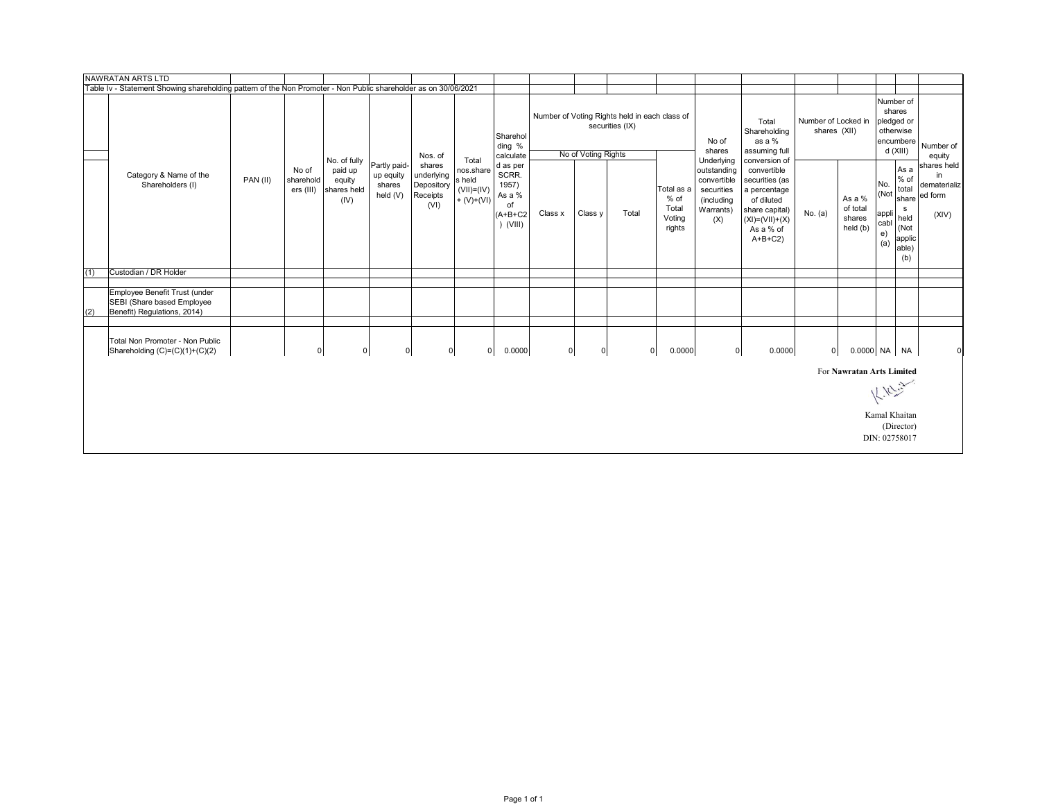|     | NAWRATAN ARTS LTD                                                                                               |                   |                        |                                                          |                                                 |                                                        |                                                                |                                                                       |         |                      |                                                                  |                                                 |                                                                                          |                                                                                                                                                 |                                     |                                          |                                           |                                                                                 |                                                       |
|-----|-----------------------------------------------------------------------------------------------------------------|-------------------|------------------------|----------------------------------------------------------|-------------------------------------------------|--------------------------------------------------------|----------------------------------------------------------------|-----------------------------------------------------------------------|---------|----------------------|------------------------------------------------------------------|-------------------------------------------------|------------------------------------------------------------------------------------------|-------------------------------------------------------------------------------------------------------------------------------------------------|-------------------------------------|------------------------------------------|-------------------------------------------|---------------------------------------------------------------------------------|-------------------------------------------------------|
|     | Table Iv - Statement Showing shareholding pattern of the Non Promoter - Non Public shareholder as on 30/06/2021 |                   |                        |                                                          |                                                 |                                                        |                                                                |                                                                       |         |                      |                                                                  |                                                 |                                                                                          |                                                                                                                                                 |                                     |                                          |                                           |                                                                                 |                                                       |
|     |                                                                                                                 |                   |                        |                                                          |                                                 | Nos. of                                                |                                                                | Sharehol<br>ding %<br>calculate                                       |         | No of Voting Rights  | Number of Voting Rights held in each class of<br>securities (IX) |                                                 | No of<br>shares                                                                          | Total<br>Shareholding<br>as a %<br>assuming full                                                                                                | Number of Locked in<br>shares (XII) |                                          | Number of<br>pledged or<br>otherwise      | shares<br>encumbere<br>d (XIII)                                                 | Number of<br>equity                                   |
|     | Category & Name of the<br>Shareholders (I)                                                                      | No of<br>PAN (II) | sharehold<br>ers (III) | No. of fully<br>paid up<br>equity<br>shares held<br>(IV) | Partly paid-<br>up equity<br>shares<br>held (V) | shares<br>underlying<br>Depository<br>Receipts<br>(VI) | Total<br>nos.share<br>s held<br>$(VII) = (IV)$<br>$+ (V)+(VI)$ | d as per<br>SCRR.<br>1957)<br>As a %<br>of<br>$(A+B+C2$<br>$)$ (VIII) | Class x | Class y              | Total                                                            | Total as a<br>% of<br>Total<br>Voting<br>rights | Underlying<br>outstanding<br>convertible<br>securities<br>(including<br>Warrants)<br>(X) | conversion of<br>convertible<br>securities (as<br>a percentage<br>of diluted<br>share capital)<br>$(XI) = (VII) + (X)$<br>As a % of<br>$A+B+C2$ | No. $(a)$                           | As a %<br>of total<br>shares<br>held (b) | No.<br>(Not<br>appli<br>cabl<br>e)<br>(a) | As a<br>$%$ of<br>total<br>share<br>s<br>held<br>(Not<br>applic<br>able)<br>(b) | shares held<br>in<br>dematerializ<br>ed form<br>(XIV) |
| (1) | Custodian / DR Holder                                                                                           |                   |                        |                                                          |                                                 |                                                        |                                                                |                                                                       |         |                      |                                                                  |                                                 |                                                                                          |                                                                                                                                                 |                                     |                                          |                                           |                                                                                 |                                                       |
|     |                                                                                                                 |                   |                        |                                                          |                                                 |                                                        |                                                                |                                                                       |         |                      |                                                                  |                                                 |                                                                                          |                                                                                                                                                 |                                     |                                          |                                           |                                                                                 |                                                       |
| (2) | Employee Benefit Trust (under<br>SEBI (Share based Employee<br>Benefit) Regulations, 2014)                      |                   |                        |                                                          |                                                 |                                                        |                                                                |                                                                       |         |                      |                                                                  |                                                 |                                                                                          |                                                                                                                                                 |                                     |                                          |                                           |                                                                                 |                                                       |
|     | Total Non Promoter - Non Public<br>Shareholding (C)=(C)(1)+(C)(2)                                               |                   | $\mathbf 0$            |                                                          | $\mathbf 0$<br>$\overline{0}$                   |                                                        | $\overline{0}$<br>$\mathbf 0$                                  | 0.0000                                                                |         | 0 <br>$\overline{0}$ |                                                                  | 0.0000<br>$\overline{0}$                        | $\circ$                                                                                  | 0.0000                                                                                                                                          | $\mathbf 0$                         | 0.0000 NA NA                             |                                           |                                                                                 | $\Omega$                                              |
|     |                                                                                                                 |                   |                        |                                                          |                                                 |                                                        |                                                                |                                                                       |         |                      |                                                                  |                                                 |                                                                                          |                                                                                                                                                 |                                     | For Nawratan Arts Limited                |                                           |                                                                                 |                                                       |
|     |                                                                                                                 |                   |                        |                                                          |                                                 |                                                        |                                                                |                                                                       |         |                      |                                                                  |                                                 |                                                                                          |                                                                                                                                                 |                                     |                                          |                                           | $k$ . $k$                                                                       |                                                       |
|     |                                                                                                                 |                   |                        |                                                          |                                                 |                                                        |                                                                |                                                                       |         |                      |                                                                  |                                                 |                                                                                          |                                                                                                                                                 |                                     |                                          | Kamal Khaitan<br>DIN: 02758017            | (Director)                                                                      |                                                       |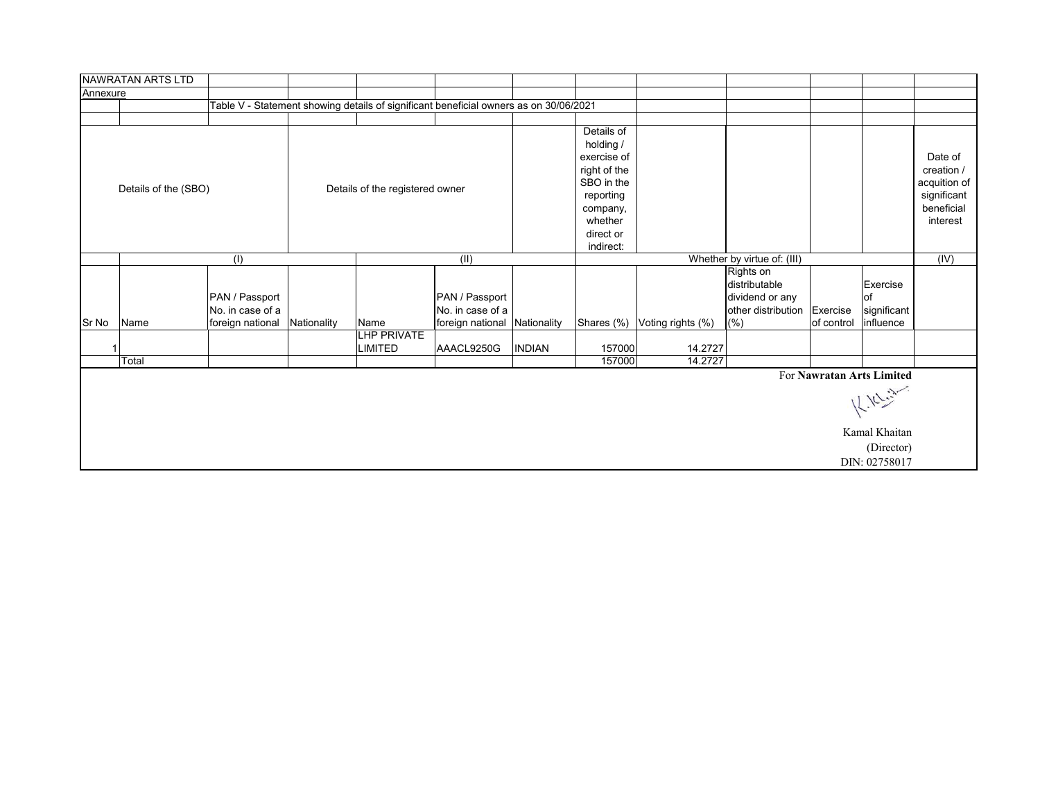|          | NAWRATAN ARTS LTD    |                                    |             |                                      |                                                                                       |                             |                                                                                                                                    |                   |                                                                     |            |                                                                                    |                                                                                |  |  |
|----------|----------------------|------------------------------------|-------------|--------------------------------------|---------------------------------------------------------------------------------------|-----------------------------|------------------------------------------------------------------------------------------------------------------------------------|-------------------|---------------------------------------------------------------------|------------|------------------------------------------------------------------------------------|--------------------------------------------------------------------------------|--|--|
| Annexure |                      |                                    |             |                                      |                                                                                       |                             |                                                                                                                                    |                   |                                                                     |            |                                                                                    |                                                                                |  |  |
|          |                      |                                    |             |                                      | Table V - Statement showing details of significant beneficial owners as on 30/06/2021 |                             |                                                                                                                                    |                   |                                                                     |            |                                                                                    |                                                                                |  |  |
|          |                      |                                    |             |                                      |                                                                                       |                             |                                                                                                                                    |                   |                                                                     |            |                                                                                    |                                                                                |  |  |
|          | Details of the (SBO) |                                    |             | Details of the registered owner      |                                                                                       |                             | Details of<br>holding /<br>exercise of<br>right of the<br>SBO in the<br>reporting<br>company,<br>whether<br>direct or<br>indirect: |                   |                                                                     |            |                                                                                    | Date of<br>creation /<br>acquition of<br>significant<br>beneficial<br>interest |  |  |
|          |                      | (1)                                |             |                                      | (II)                                                                                  | Whether by virtue of: (III) |                                                                                                                                    |                   |                                                                     |            |                                                                                    |                                                                                |  |  |
|          |                      | PAN / Passport<br>No. in case of a |             |                                      | PAN / Passport<br>No. in case of a                                                    |                             |                                                                                                                                    |                   | Rights on<br>distributable<br>dividend or any<br>other distribution | Exercise   | Exercise<br>lof<br>significant                                                     | (IV)                                                                           |  |  |
| Sr No    | Name                 | foreign national                   | Nationality | Name                                 | foreign national Nationality                                                          |                             | Shares (%)                                                                                                                         | Voting rights (%) | (%)                                                                 | of control | influence                                                                          |                                                                                |  |  |
| -1       |                      |                                    |             | <b>LHP PRIVATE</b><br><b>LIMITED</b> | AAACL9250G                                                                            | <b>INDIAN</b>               | 157000                                                                                                                             | 14.2727           |                                                                     |            |                                                                                    |                                                                                |  |  |
|          | Total                |                                    |             |                                      |                                                                                       |                             | 157000                                                                                                                             | 14.2727           |                                                                     |            |                                                                                    |                                                                                |  |  |
|          |                      |                                    |             |                                      |                                                                                       |                             |                                                                                                                                    |                   |                                                                     |            | For Nawratan Arts Limited<br>12.10<br>Kamal Khaitan<br>(Director)<br>DIN: 02758017 |                                                                                |  |  |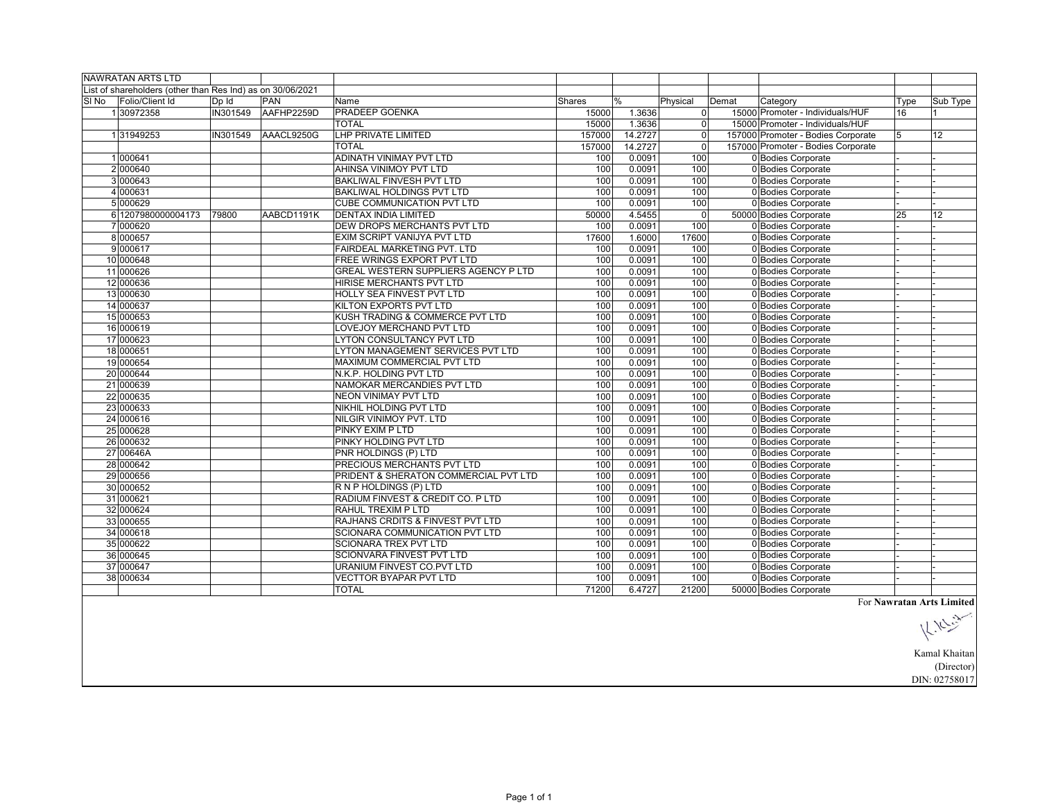|       | <b>NAWRATAN ARTS LTD</b>                                   |          |            |                                       |        |               |                |       |                                    |      |                           |
|-------|------------------------------------------------------------|----------|------------|---------------------------------------|--------|---------------|----------------|-------|------------------------------------|------|---------------------------|
|       | List of shareholders (other than Res Ind) as on 30/06/2021 |          |            |                                       |        |               |                |       |                                    |      |                           |
| SI No | Folio/Client Id                                            | Dp Id    | <b>PAN</b> | Name                                  | Shares | $\frac{0}{0}$ | Physical       | Demat | Category                           | Type | Sub Type                  |
|       | 130972358                                                  | IN301549 | AAFHP2259D | PRADEEP GOENKA                        | 15000  | 1.3636        | $\overline{0}$ |       | 15000 Promoter - Individuals/HUF   | 16   |                           |
|       |                                                            |          |            | <b>TOTAL</b>                          | 15000  | 1.3636        | $\overline{0}$ |       | 15000 Promoter - Individuals/HUF   |      |                           |
|       | 131949253                                                  | IN301549 | AAACL9250G | <b>LHP PRIVATE LIMITED</b>            | 157000 | 14.2727       | $\overline{0}$ |       | 157000 Promoter - Bodies Corporate | 5    | 12                        |
|       |                                                            |          |            | <b>TOTAL</b>                          | 157000 | 14.2727       | $\Omega$       |       | 157000 Promoter - Bodies Corporate |      |                           |
|       | 1000641                                                    |          |            | <b>ADINATH VINIMAY PVT LTD</b>        | 100    | 0.0091        | 100            |       | 0 Bodies Corporate                 |      |                           |
|       | 2 000640                                                   |          |            | AHINSA VINIMOY PVT LTD                | 100    | 0.0091        | 100            |       | 0 Bodies Corporate                 |      |                           |
|       | 3 000643                                                   |          |            | <b>BAKLIWAL FINVESH PVT LTD</b>       | 100    | 0.0091        | 100            |       | 0 Bodies Corporate                 |      |                           |
|       | 4 000631                                                   |          |            | BAKLIWAL HOLDINGS PVT LTD             | 100    | 0.0091        | 100            |       | 0 Bodies Corporate                 |      |                           |
|       | 5 000629                                                   |          |            | CUBE COMMUNICATION PVT LTD            | 100    | 0.0091        | 100            |       | 0 Bodies Corporate                 |      |                           |
|       | 6 1207980000004173                                         | 79800    | AABCD1191K | <b>DENTAX INDIA LIMITED</b>           | 50000  | 4.5455        | $\mathbf{0}$   |       | 50000 Bodies Corporate             | 25   | 12                        |
|       | 7 000620                                                   |          |            | DEW DROPS MERCHANTS PVT LTD           | 100    | 0.0091        | 100            |       | 0 Bodies Corporate                 |      |                           |
|       | 8000657                                                    |          |            | EXIM SCRIPT VANIJYA PVT LTD           | 17600  | 1.6000        | 17600          |       | 0 Bodies Corporate                 |      |                           |
|       | 9000617                                                    |          |            | FAIRDEAL MARKETING PVT. LTD           | 100    | 0.0091        | 100            |       | 0 Bodies Corporate                 |      |                           |
|       | 10 000648                                                  |          |            | FREE WRINGS EXPORT PVT LTD            | 100    | 0.0091        | 100            |       | 0 Bodies Corporate                 |      |                           |
|       | 11 000626                                                  |          |            | GREAL WESTERN SUPPLIERS AGENCY P LTD  | 100    | 0.0091        | 100            |       | 0 Bodies Corporate                 |      |                           |
|       | 12 000636                                                  |          |            | HIRISE MERCHANTS PVT LTD              | 100    | 0.0091        | 100            |       | 0 Bodies Corporate                 |      |                           |
|       | 13 000630                                                  |          |            | HOLLY SEA FINVEST PVT LTD             | 100    | 0.0091        | 100            |       | 0 Bodies Corporate                 |      |                           |
|       | 14 000637                                                  |          |            | KILTON EXPORTS PVT LTD                | 100    | 0.0091        | 100            |       | 0 Bodies Corporate                 |      |                           |
|       | 15 000653                                                  |          |            | KUSH TRADING & COMMERCE PVT LTD       | 100    | 0.0091        | 100            |       | 0 Bodies Corporate                 |      |                           |
|       | 16 000619                                                  |          |            | LOVEJOY MERCHAND PVT LTD              | 100    | 0.0091        | 100            |       | 0 Bodies Corporate                 |      |                           |
|       | 17 000623                                                  |          |            | <b>LYTON CONSULTANCY PVT LTD</b>      | 100    | 0.0091        | 100            |       | 0 Bodies Corporate                 |      |                           |
|       | 18 000651                                                  |          |            | LYTON MANAGEMENT SERVICES PVT LTD     | 100    | 0.0091        | 100            |       | 0 Bodies Corporate                 |      |                           |
|       | 19 000654                                                  |          |            | MAXIMUM COMMERCIAL PVT LTD            | 100    | 0.0091        | 100            |       | 0 Bodies Corporate                 |      |                           |
|       | 20 000644                                                  |          |            | N.K.P. HOLDING PVT LTD                | 100    | 0.0091        | 100            |       | 0 Bodies Corporate                 |      |                           |
|       | 21 000639                                                  |          |            | NAMOKAR MERCANDIES PVT LTD            | 100    | 0.0091        | 100            |       | 0 Bodies Corporate                 |      |                           |
|       | 22 000635                                                  |          |            | NEON VINIMAY PVT LTD                  | 100    | 0.0091        | 100            |       | 0 Bodies Corporate                 |      |                           |
|       | 23 000633                                                  |          |            | NIKHIL HOLDING PVT LTD                | 100    | 0.0091        | 100            |       | 0 Bodies Corporate                 |      |                           |
|       | 24 000616                                                  |          |            | NILGIR VINIMOY PVT. LTD               | 100    | 0.0091        | 100            |       | 0 Bodies Corporate                 |      |                           |
|       | 25 000628                                                  |          |            | PINKY EXIM P LTD                      | 100    | 0.0091        | 100            |       | 0 Bodies Corporate                 |      |                           |
|       | 26 000632                                                  |          |            | PINKY HOLDING PVT LTD                 | 100    | 0.0091        | 100            |       | 0 Bodies Corporate                 |      |                           |
|       | 27 00646A                                                  |          |            | PNR HOLDINGS (P) LTD                  | 100    | 0.0091        | 100            |       | 0 Bodies Corporate                 |      |                           |
|       | 28 000642                                                  |          |            | PRECIOUS MERCHANTS PVT LTD            | 100    | 0.0091        | 100            |       | 0 Bodies Corporate                 |      |                           |
|       | 29 000656                                                  |          |            | PRIDENT & SHERATON COMMERCIAL PVT LTD | 100    | 0.0091        | 100            |       | 0 Bodies Corporate                 |      |                           |
|       | 30 000652                                                  |          |            | R N P HOLDINGS (P) LTD                | 100    | 0.0091        | 100            |       | 0 Bodies Corporate                 |      |                           |
|       | 31 000621                                                  |          |            | RADIUM FINVEST & CREDIT CO. P LTD     | 100    | 0.0091        | 100            |       | 0 Bodies Corporate                 |      |                           |
|       | 32 000624                                                  |          |            | RAHUL TREXIM P LTD                    | 100    | 0.0091        | 100            |       | 0 Bodies Corporate                 |      |                           |
|       | 33 000655                                                  |          |            | RAJHANS CRDITS & FINVEST PVT LTD      | 100    | 0.0091        | 100            |       | 0 Bodies Corporate                 |      |                           |
|       | 34 000618                                                  |          |            | SCIONARA COMMUNICATION PVT LTD        | 100    | 0.0091        | 100            |       | 0 Bodies Corporate                 |      |                           |
|       | 35 000622                                                  |          |            | SCIONARA TREX PVT LTD                 | 100    | 0.0091        | 100            |       | 0 Bodies Corporate                 |      |                           |
|       | 36 000645                                                  |          |            | SCIONVARA FINVEST PVT LTD             | 100    | 0.0091        | 100            |       | 0 Bodies Corporate                 |      |                           |
|       | 37 000647                                                  |          |            | URANIUM FINVEST CO.PVT LTD            | 100    | 0.0091        | 100            |       | 0 Bodies Corporate                 |      |                           |
|       | 38 000634                                                  |          |            | <b>VECTTOR BYAPAR PVT LTD</b>         | 100    | 0.0091        | 100            |       | 0 Bodies Corporate                 |      |                           |
|       |                                                            |          |            | <b>TOTAL</b>                          | 71200  | 6.4727        | 21200          |       | 50000 Bodies Corporate             |      |                           |
|       |                                                            |          |            |                                       |        |               |                |       |                                    |      | For Nawratan Arts Limited |

For **Nawratan Arts Limited**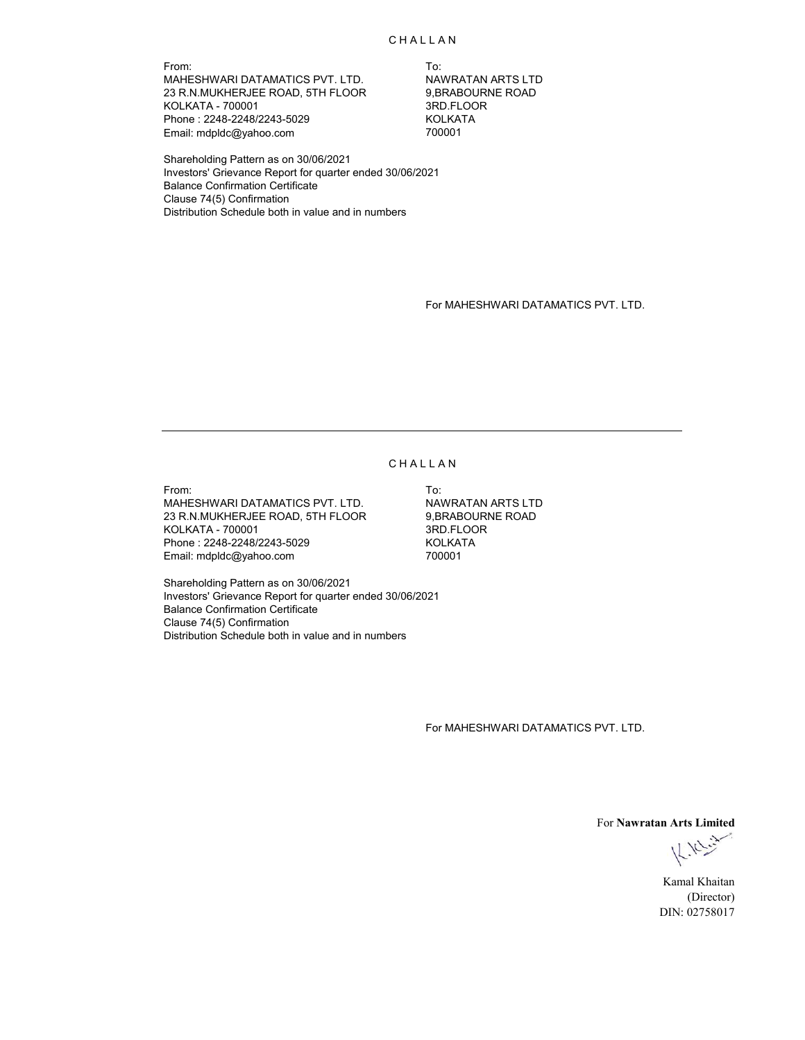**CHALLAN** 

From: To: MAHESHWARI DATAMATICS PVT. LTD. NAWRATAN ARTS LTD<br>23 R.N.MUKHERJEE ROAD, 5TH FLOOR 9,BRABOURNE ROAD 23 R.N.MUKHERJEE ROAD, 5TH FLOOR 9,BRABOURI<br>KOLKATA - 700001 600001 KOLKATA - 700001 Phone : 2248-2248/2243-5029 KOLKATA Email: mdpldc@yahoo.com

Shareholding Pattern as on 30/06/2021 Investors' Grievance Report for quarter ended 30/06/2021 Balance Confirmation Certificate Clause 74(5) Confirmation Distribution Schedule both in value and in numbers

For MAHESHWARI DATAMATICS PVT. LTD.

#### **CHALLAN**

From: To: MAHESHWARI DATAMATICS PVT. LTD. NAWRATAN ARTS LTD 23 R.N.MUKHERJEE ROAD, 5TH FLOOR 9,BRABOURNE ROAD KOLKATA - 700001 3RD.FLOOR Phone : 2248-2248/2243-5029 KOLKATA Email: mdpldc@yahoo.com

Shareholding Pattern as on 30/06/2021 Investors' Grievance Report for quarter ended 30/06/2021 Balance Confirmation Certificate Clause 74(5) Confirmation Distribution Schedule both in value and in numbers

For MAHESHWARI DATAMATICS PVT. LTD.

For **Nawratan Arts Limited**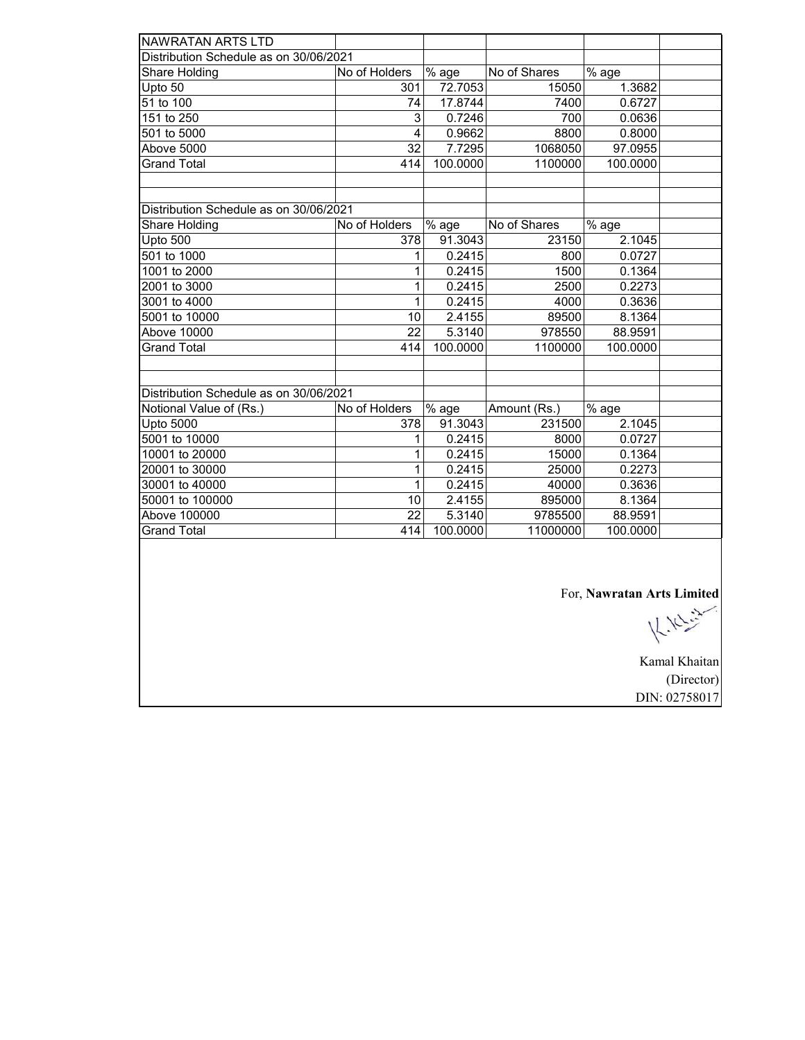| Distribution Schedule as on 30/06/2021<br>$\frac{1}{6}$ age<br>% age<br>No of Holders<br>No of Shares<br>Share Holding<br>72.7053<br>1.3682<br>Upto 50<br>301<br>15050<br>51 to 100<br>17.8744<br>74<br>7400<br>0.6727<br>151 to 250<br>3<br>0.7246<br>700<br>0.0636<br>$\overline{4}$<br>8800<br>501 to 5000<br>0.9662<br>0.8000<br>Above 5000<br>32<br>1068050<br>7.7295<br>97.0955<br><b>Grand Total</b><br>414<br>100.0000<br>1100000<br>100.0000<br>Distribution Schedule as on 30/06/2021<br>% age<br>Share Holding<br>No of Holders<br>No of Shares<br>% age<br>2.1045<br>Upto 500<br>378<br>91.3043<br>23150<br>501 to 1000<br>0.2415<br>800<br>0.0727<br>1<br>1001 to 2000<br>0.2415<br>1500<br>0.1364<br>1<br>2001 to 3000<br>0.2415<br>0.2273<br>1<br>2500<br>0.2415<br>3001 to 4000<br>1<br>4000<br>0.3636<br>5001 to 10000<br>2.4155<br>89500<br>10<br>8.1364<br>$\overline{22}$<br>Above 10000<br>5.3140<br>978550<br>88.9591<br><b>Grand Total</b><br>414<br>100.0000<br>1100000<br>100.0000<br>Distribution Schedule as on 30/06/2021<br>Notional Value of (Rs.)<br>No of Holders<br>% age<br>% age<br>Amount (Rs.)<br><b>Upto 5000</b><br>91.3043<br>231500<br>2.1045<br>378<br>5001 to 10000<br>0.2415<br>8000<br>0.0727<br>1<br>0.2415<br>10001 to 20000<br>15000<br>0.1364<br>1<br>20001 to 30000<br>0.2415<br>25000<br>0.2273<br>1<br>30001 to 40000<br>0.2415<br>0.3636<br>1<br>40000<br>50001 to 100000<br>2.4155<br>895000<br>8.1364<br>10<br>22<br>Above 100000<br>5.3140<br>9785500<br>88.9591<br><b>Grand Total</b><br>414<br>100.0000<br>11000000<br>100.0000 |                          |  |  |  |
|-------------------------------------------------------------------------------------------------------------------------------------------------------------------------------------------------------------------------------------------------------------------------------------------------------------------------------------------------------------------------------------------------------------------------------------------------------------------------------------------------------------------------------------------------------------------------------------------------------------------------------------------------------------------------------------------------------------------------------------------------------------------------------------------------------------------------------------------------------------------------------------------------------------------------------------------------------------------------------------------------------------------------------------------------------------------------------------------------------------------------------------------------------------------------------------------------------------------------------------------------------------------------------------------------------------------------------------------------------------------------------------------------------------------------------------------------------------------------------------------------------------------------------------------------------------------------------------------|--------------------------|--|--|--|
|                                                                                                                                                                                                                                                                                                                                                                                                                                                                                                                                                                                                                                                                                                                                                                                                                                                                                                                                                                                                                                                                                                                                                                                                                                                                                                                                                                                                                                                                                                                                                                                           | <b>NAWRATAN ARTS LTD</b> |  |  |  |
|                                                                                                                                                                                                                                                                                                                                                                                                                                                                                                                                                                                                                                                                                                                                                                                                                                                                                                                                                                                                                                                                                                                                                                                                                                                                                                                                                                                                                                                                                                                                                                                           |                          |  |  |  |
|                                                                                                                                                                                                                                                                                                                                                                                                                                                                                                                                                                                                                                                                                                                                                                                                                                                                                                                                                                                                                                                                                                                                                                                                                                                                                                                                                                                                                                                                                                                                                                                           |                          |  |  |  |
|                                                                                                                                                                                                                                                                                                                                                                                                                                                                                                                                                                                                                                                                                                                                                                                                                                                                                                                                                                                                                                                                                                                                                                                                                                                                                                                                                                                                                                                                                                                                                                                           |                          |  |  |  |
|                                                                                                                                                                                                                                                                                                                                                                                                                                                                                                                                                                                                                                                                                                                                                                                                                                                                                                                                                                                                                                                                                                                                                                                                                                                                                                                                                                                                                                                                                                                                                                                           |                          |  |  |  |
|                                                                                                                                                                                                                                                                                                                                                                                                                                                                                                                                                                                                                                                                                                                                                                                                                                                                                                                                                                                                                                                                                                                                                                                                                                                                                                                                                                                                                                                                                                                                                                                           |                          |  |  |  |
|                                                                                                                                                                                                                                                                                                                                                                                                                                                                                                                                                                                                                                                                                                                                                                                                                                                                                                                                                                                                                                                                                                                                                                                                                                                                                                                                                                                                                                                                                                                                                                                           |                          |  |  |  |
|                                                                                                                                                                                                                                                                                                                                                                                                                                                                                                                                                                                                                                                                                                                                                                                                                                                                                                                                                                                                                                                                                                                                                                                                                                                                                                                                                                                                                                                                                                                                                                                           |                          |  |  |  |
|                                                                                                                                                                                                                                                                                                                                                                                                                                                                                                                                                                                                                                                                                                                                                                                                                                                                                                                                                                                                                                                                                                                                                                                                                                                                                                                                                                                                                                                                                                                                                                                           |                          |  |  |  |
|                                                                                                                                                                                                                                                                                                                                                                                                                                                                                                                                                                                                                                                                                                                                                                                                                                                                                                                                                                                                                                                                                                                                                                                                                                                                                                                                                                                                                                                                                                                                                                                           |                          |  |  |  |
|                                                                                                                                                                                                                                                                                                                                                                                                                                                                                                                                                                                                                                                                                                                                                                                                                                                                                                                                                                                                                                                                                                                                                                                                                                                                                                                                                                                                                                                                                                                                                                                           |                          |  |  |  |
|                                                                                                                                                                                                                                                                                                                                                                                                                                                                                                                                                                                                                                                                                                                                                                                                                                                                                                                                                                                                                                                                                                                                                                                                                                                                                                                                                                                                                                                                                                                                                                                           |                          |  |  |  |
|                                                                                                                                                                                                                                                                                                                                                                                                                                                                                                                                                                                                                                                                                                                                                                                                                                                                                                                                                                                                                                                                                                                                                                                                                                                                                                                                                                                                                                                                                                                                                                                           |                          |  |  |  |
|                                                                                                                                                                                                                                                                                                                                                                                                                                                                                                                                                                                                                                                                                                                                                                                                                                                                                                                                                                                                                                                                                                                                                                                                                                                                                                                                                                                                                                                                                                                                                                                           |                          |  |  |  |
|                                                                                                                                                                                                                                                                                                                                                                                                                                                                                                                                                                                                                                                                                                                                                                                                                                                                                                                                                                                                                                                                                                                                                                                                                                                                                                                                                                                                                                                                                                                                                                                           |                          |  |  |  |
|                                                                                                                                                                                                                                                                                                                                                                                                                                                                                                                                                                                                                                                                                                                                                                                                                                                                                                                                                                                                                                                                                                                                                                                                                                                                                                                                                                                                                                                                                                                                                                                           |                          |  |  |  |
|                                                                                                                                                                                                                                                                                                                                                                                                                                                                                                                                                                                                                                                                                                                                                                                                                                                                                                                                                                                                                                                                                                                                                                                                                                                                                                                                                                                                                                                                                                                                                                                           |                          |  |  |  |
|                                                                                                                                                                                                                                                                                                                                                                                                                                                                                                                                                                                                                                                                                                                                                                                                                                                                                                                                                                                                                                                                                                                                                                                                                                                                                                                                                                                                                                                                                                                                                                                           |                          |  |  |  |
|                                                                                                                                                                                                                                                                                                                                                                                                                                                                                                                                                                                                                                                                                                                                                                                                                                                                                                                                                                                                                                                                                                                                                                                                                                                                                                                                                                                                                                                                                                                                                                                           |                          |  |  |  |
|                                                                                                                                                                                                                                                                                                                                                                                                                                                                                                                                                                                                                                                                                                                                                                                                                                                                                                                                                                                                                                                                                                                                                                                                                                                                                                                                                                                                                                                                                                                                                                                           |                          |  |  |  |
|                                                                                                                                                                                                                                                                                                                                                                                                                                                                                                                                                                                                                                                                                                                                                                                                                                                                                                                                                                                                                                                                                                                                                                                                                                                                                                                                                                                                                                                                                                                                                                                           |                          |  |  |  |
|                                                                                                                                                                                                                                                                                                                                                                                                                                                                                                                                                                                                                                                                                                                                                                                                                                                                                                                                                                                                                                                                                                                                                                                                                                                                                                                                                                                                                                                                                                                                                                                           |                          |  |  |  |
|                                                                                                                                                                                                                                                                                                                                                                                                                                                                                                                                                                                                                                                                                                                                                                                                                                                                                                                                                                                                                                                                                                                                                                                                                                                                                                                                                                                                                                                                                                                                                                                           |                          |  |  |  |
|                                                                                                                                                                                                                                                                                                                                                                                                                                                                                                                                                                                                                                                                                                                                                                                                                                                                                                                                                                                                                                                                                                                                                                                                                                                                                                                                                                                                                                                                                                                                                                                           |                          |  |  |  |
|                                                                                                                                                                                                                                                                                                                                                                                                                                                                                                                                                                                                                                                                                                                                                                                                                                                                                                                                                                                                                                                                                                                                                                                                                                                                                                                                                                                                                                                                                                                                                                                           |                          |  |  |  |
|                                                                                                                                                                                                                                                                                                                                                                                                                                                                                                                                                                                                                                                                                                                                                                                                                                                                                                                                                                                                                                                                                                                                                                                                                                                                                                                                                                                                                                                                                                                                                                                           |                          |  |  |  |
|                                                                                                                                                                                                                                                                                                                                                                                                                                                                                                                                                                                                                                                                                                                                                                                                                                                                                                                                                                                                                                                                                                                                                                                                                                                                                                                                                                                                                                                                                                                                                                                           |                          |  |  |  |
|                                                                                                                                                                                                                                                                                                                                                                                                                                                                                                                                                                                                                                                                                                                                                                                                                                                                                                                                                                                                                                                                                                                                                                                                                                                                                                                                                                                                                                                                                                                                                                                           |                          |  |  |  |
|                                                                                                                                                                                                                                                                                                                                                                                                                                                                                                                                                                                                                                                                                                                                                                                                                                                                                                                                                                                                                                                                                                                                                                                                                                                                                                                                                                                                                                                                                                                                                                                           |                          |  |  |  |
|                                                                                                                                                                                                                                                                                                                                                                                                                                                                                                                                                                                                                                                                                                                                                                                                                                                                                                                                                                                                                                                                                                                                                                                                                                                                                                                                                                                                                                                                                                                                                                                           |                          |  |  |  |
|                                                                                                                                                                                                                                                                                                                                                                                                                                                                                                                                                                                                                                                                                                                                                                                                                                                                                                                                                                                                                                                                                                                                                                                                                                                                                                                                                                                                                                                                                                                                                                                           |                          |  |  |  |
|                                                                                                                                                                                                                                                                                                                                                                                                                                                                                                                                                                                                                                                                                                                                                                                                                                                                                                                                                                                                                                                                                                                                                                                                                                                                                                                                                                                                                                                                                                                                                                                           |                          |  |  |  |
|                                                                                                                                                                                                                                                                                                                                                                                                                                                                                                                                                                                                                                                                                                                                                                                                                                                                                                                                                                                                                                                                                                                                                                                                                                                                                                                                                                                                                                                                                                                                                                                           |                          |  |  |  |
|                                                                                                                                                                                                                                                                                                                                                                                                                                                                                                                                                                                                                                                                                                                                                                                                                                                                                                                                                                                                                                                                                                                                                                                                                                                                                                                                                                                                                                                                                                                                                                                           |                          |  |  |  |
|                                                                                                                                                                                                                                                                                                                                                                                                                                                                                                                                                                                                                                                                                                                                                                                                                                                                                                                                                                                                                                                                                                                                                                                                                                                                                                                                                                                                                                                                                                                                                                                           |                          |  |  |  |
|                                                                                                                                                                                                                                                                                                                                                                                                                                                                                                                                                                                                                                                                                                                                                                                                                                                                                                                                                                                                                                                                                                                                                                                                                                                                                                                                                                                                                                                                                                                                                                                           |                          |  |  |  |

For, **Nawratan Arts Limited**